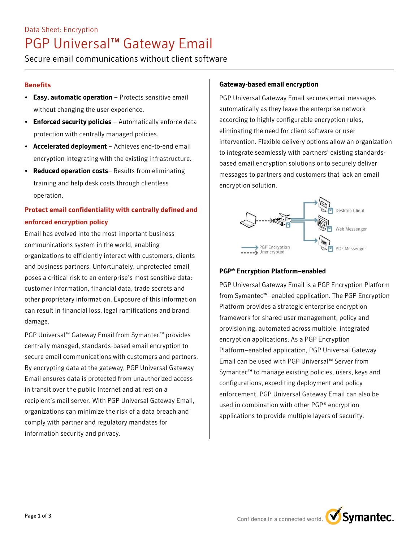# Data Sheet: Encryption PGP Universal™ Gateway Email

Secure email communications without client software

## **Benefits**

- Easy, automatic operation Protects sensitive email without changing the user experience.
- Enforced security policies Automatically enforce data protection with centrally managed policies.
- Accelerated deployment Achieves end-to-end email encryption integrating with the existing infrastructure.
- Reduced operation costs-Results from eliminating training and help desk costs through clientless operation.

## **Protect email confidentiality with centrally defined and enforced encryption policy**

Email has evolved into the most important business communications system in the world, enabling organizations to efficiently interact with customers, clients and business partners. Unfortunately, unprotected email poses a critical risk to an enterprise's most sensitive data: customer information, financial data, trade secrets and other proprietary information. Exposure of this information can result in financial loss, legal ramifications and brand damage.

PGP Universal™ Gateway Email from Symantec™ provides centrally managed, standards-based email encryption to secure email communications with customers and partners. By encrypting data at the gateway, PGP Universal Gateway Email ensures data is protected from unauthorized access in transit over the public Internet and at rest on a recipient's mail server. With PGP Universal Gateway Email, organizations can minimize the risk of a data breach and comply with partner and regulatory mandates for information security and privacy.

## Gateway-based email encryption

PGP Universal Gateway Email secures email messages automatically as they leave the enterprise network according to highly configurable encryption rules, eliminating the need for client software or user intervention. Flexible delivery options allow an organization to integrate seamlessly with partners' existing standardsbased email encryption solutions or to securely deliver messages to partners and customers that lack an email encryption solution.



### PGP® Encryption Platform–enabled

PGP Universal Gateway Email is a PGP Encryption Platform from Symantec™–enabled application. The PGP Encryption Platform provides a strategic enterprise encryption framework for shared user management, policy and provisioning, automated across multiple, integrated encryption applications. As a PGP Encryption Platform–enabled application, PGP Universal Gateway Email can be used with PGP Universal™ Server from Symantec™ to manage existing policies, users, keys and configurations, expediting deployment and policy enforcement. PGP Universal Gateway Email can also be used in combination with other PGP® encryption applications to provide multiple layers of security.

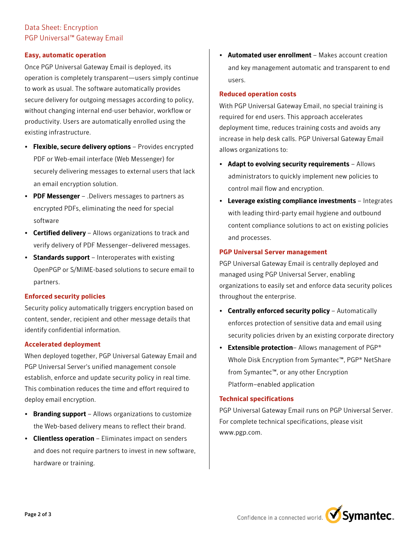## Data Sheet: Encryption PGP Universal™ Gateway Email

#### **Easy, automatic operation**

Once PGP Universal Gateway Email is deployed, its operation is completely transparent—users simply continue to work as usual. The software automatically provides secure delivery for outgoing messages according to policy, without changing internal end-user behavior, workflow or productivity. Users are automatically enrolled using the existing infrastructure.

- Flexible, secure delivery options Provides encrypted PDF or Web-email interface (Web Messenger) for securely delivering messages to external users that lack an email encryption solution.
- PDF Messenger .Delivers messages to partners as encrypted PDFs, eliminating the need for special software
- Certified delivery Allows organizations to track and verify delivery of PDF Messenger–delivered messages.
- Standards support Interoperates with existing OpenPGP or S/MIME-based solutions to secure email to partners.

#### **Enforced security policies**

Security policy automatically triggers encryption based on content, sender, recipient and other message details that identify confidential information.

#### **Accelerated deployment**

When deployed together, PGP Universal Gateway Email and PGP Universal Server's unified management console establish, enforce and update security policy in real time. This combination reduces the time and effort required to deploy email encryption.

- Branding support Allows organizations to customize the Web-based delivery means to reflect their brand.
- Clientless operation Eliminates impact on senders and does not require partners to invest in new software, hardware or training.

Automated user enrollment - Makes account creation and key management automatic and transparent to end users.

#### **Reduced operation costs**

With PGP Universal Gateway Email, no special training is required for end users. This approach accelerates deployment time, reduces training costs and avoids any increase in help desk calls. PGP Universal Gateway Email allows organizations to:

- Adapt to evolving security requirements  $-$  Allows administrators to quickly implement new policies to control mail flow and encryption.
- Leverage existing compliance investments Integrates with leading third-party email hygiene and outbound content compliance solutions to act on existing policies and processes.

#### **PGP Universal Server management**

PGP Universal Gateway Email is centrally deployed and managed using PGP Universal Server, enabling organizations to easily set and enforce data security polices throughout the enterprise.

- Centrally enforced security policy Automatically enforces protection of sensitive data and email using security policies driven by an existing corporate directory
- Extensible protection- Allows management of PGP® Whole Disk Encryption from Symantec™, PGP® NetShare from Symantec™, or any other Encryption Platform–enabled application

#### **Technical specifications**

PGP Universal Gateway Email runs on PGP Universal Server. For complete technical specifications, please visit www.pgp.com.